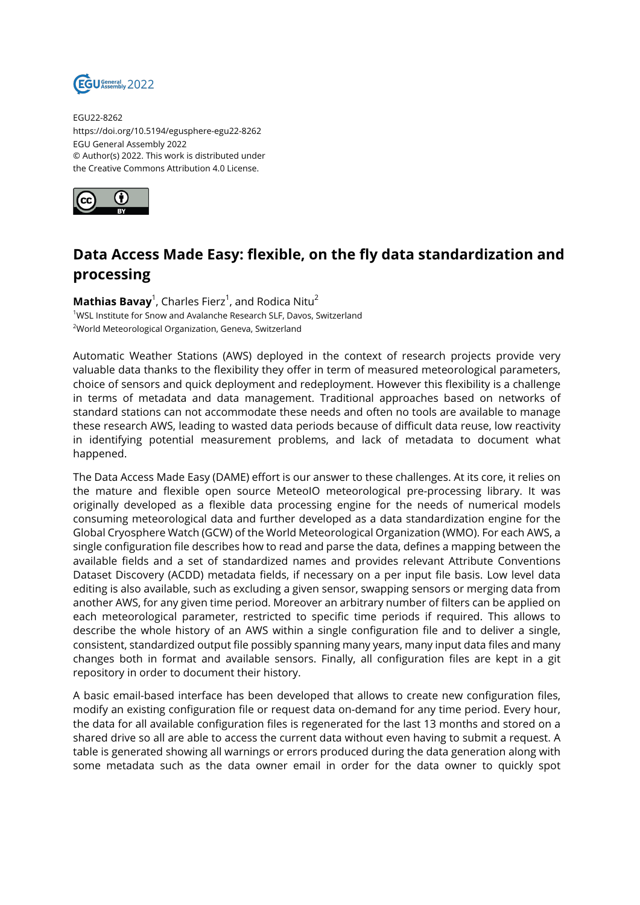

EGU22-8262 https://doi.org/10.5194/egusphere-egu22-8262 EGU General Assembly 2022 © Author(s) 2022. This work is distributed under the Creative Commons Attribution 4.0 License.



## **Data Access Made Easy: flexible, on the fly data standardization and processing**

 $\mathsf{Mathias\,Bavay}^1$ , Charles Fierz $^1$ , and Rodica Nitu $^2$ <sup>1</sup>WSL Institute for Snow and Avalanche Research SLF, Davos, Switzerland <sup>2</sup>World Meteorological Organization, Geneva, Switzerland

Automatic Weather Stations (AWS) deployed in the context of research projects provide very valuable data thanks to the flexibility they offer in term of measured meteorological parameters, choice of sensors and quick deployment and redeployment. However this flexibility is a challenge in terms of metadata and data management. Traditional approaches based on networks of standard stations can not accommodate these needs and often no tools are available to manage these research AWS, leading to wasted data periods because of difficult data reuse, low reactivity in identifying potential measurement problems, and lack of metadata to document what happened.

The Data Access Made Easy (DAME) effort is our answer to these challenges. At its core, it relies on the mature and flexible open source MeteoIO meteorological pre-processing library. It was originally developed as a flexible data processing engine for the needs of numerical models consuming meteorological data and further developed as a data standardization engine for the Global Cryosphere Watch (GCW) of the World Meteorological Organization (WMO). For each AWS, a single configuration file describes how to read and parse the data, defines a mapping between the available fields and a set of standardized names and provides relevant Attribute Conventions Dataset Discovery (ACDD) metadata fields, if necessary on a per input file basis. Low level data editing is also available, such as excluding a given sensor, swapping sensors or merging data from another AWS, for any given time period. Moreover an arbitrary number of filters can be applied on each meteorological parameter, restricted to specific time periods if required. This allows to describe the whole history of an AWS within a single configuration file and to deliver a single, consistent, standardized output file possibly spanning many years, many input data files and many changes both in format and available sensors. Finally, all configuration files are kept in a git repository in order to document their history.

A basic email-based interface has been developed that allows to create new configuration files, modify an existing configuration file or request data on-demand for any time period. Every hour, the data for all available configuration files is regenerated for the last 13 months and stored on a shared drive so all are able to access the current data without even having to submit a request. A table is generated showing all warnings or errors produced during the data generation along with some metadata such as the data owner email in order for the data owner to quickly spot